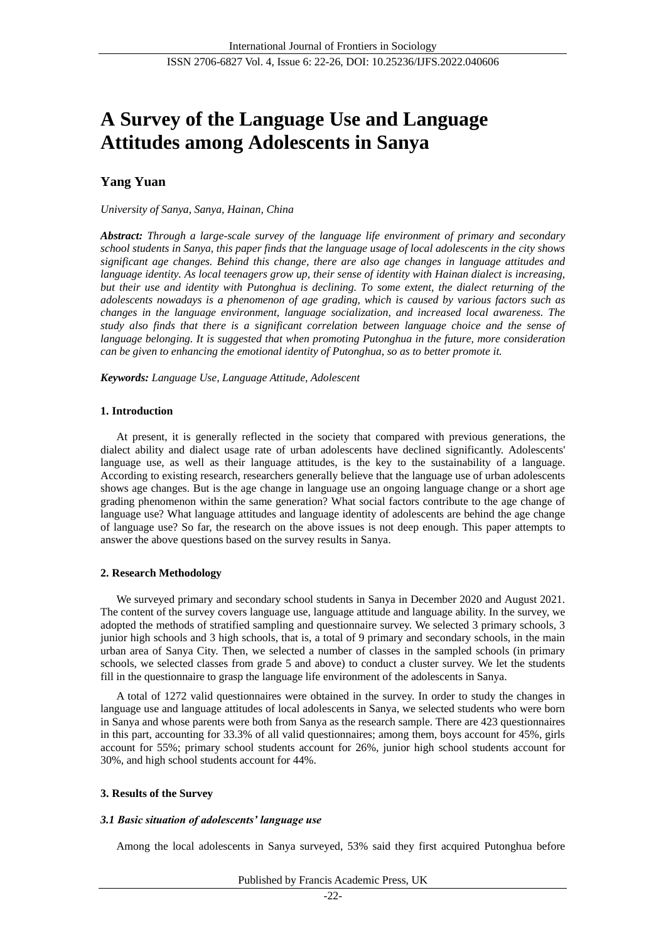# **A Survey of the Language Use and Language Attitudes among Adolescents in Sanya**

# **Yang Yuan**

# *University of Sanya, Sanya, Hainan, China*

*Abstract: Through a large-scale survey of the language life environment of primary and secondary school students in Sanya, this paper finds that the language usage of local adolescents in the city shows significant age changes. Behind this change, there are also age changes in language attitudes and language identity. As local teenagers grow up, their sense of identity with Hainan dialect is increasing, but their use and identity with Putonghua is declining. To some extent, the dialect returning of the adolescents nowadays is a phenomenon of age grading, which is caused by various factors such as changes in the language environment, language socialization, and increased local awareness. The study also finds that there is a significant correlation between language choice and the sense of language belonging. It is suggested that when promoting Putonghua in the future, more consideration can be given to enhancing the emotional identity of Putonghua, so as to better promote it.*

*Keywords: Language Use, Language Attitude, Adolescent*

# **1. Introduction**

At present, it is generally reflected in the society that compared with previous generations, the dialect ability and dialect usage rate of urban adolescents have declined significantly. Adolescents' language use, as well as their language attitudes, is the key to the sustainability of a language. According to existing research, researchers generally believe that the language use of urban adolescents shows age changes. But is the age change in language use an ongoing language change or a short age grading phenomenon within the same generation? What social factors contribute to the age change of language use? What language attitudes and language identity of adolescents are behind the age change of language use? So far, the research on the above issues is not deep enough. This paper attempts to answer the above questions based on the survey results in Sanya.

# **2. Research Methodology**

We surveyed primary and secondary school students in Sanya in December 2020 and August 2021. The content of the survey covers language use, language attitude and language ability. In the survey, we adopted the methods of stratified sampling and questionnaire survey. We selected 3 primary schools, 3 junior high schools and 3 high schools, that is, a total of 9 primary and secondary schools, in the main urban area of Sanya City. Then, we selected a number of classes in the sampled schools (in primary schools, we selected classes from grade 5 and above) to conduct a cluster survey. We let the students fill in the questionnaire to grasp the language life environment of the adolescents in Sanya.

A total of 1272 valid questionnaires were obtained in the survey. In order to study the changes in language use and language attitudes of local adolescents in Sanya, we selected students who were born in Sanya and whose parents were both from Sanya as the research sample. There are 423 questionnaires in this part, accounting for 33.3% of all valid questionnaires; among them, boys account for 45%, girls account for 55%; primary school students account for 26%, junior high school students account for 30%, and high school students account for 44%.

# **3. Results of the Survey**

# *3.1 Basic situation of adolescents' language use*

Among the local adolescents in Sanya surveyed, 53% said they first acquired Putonghua before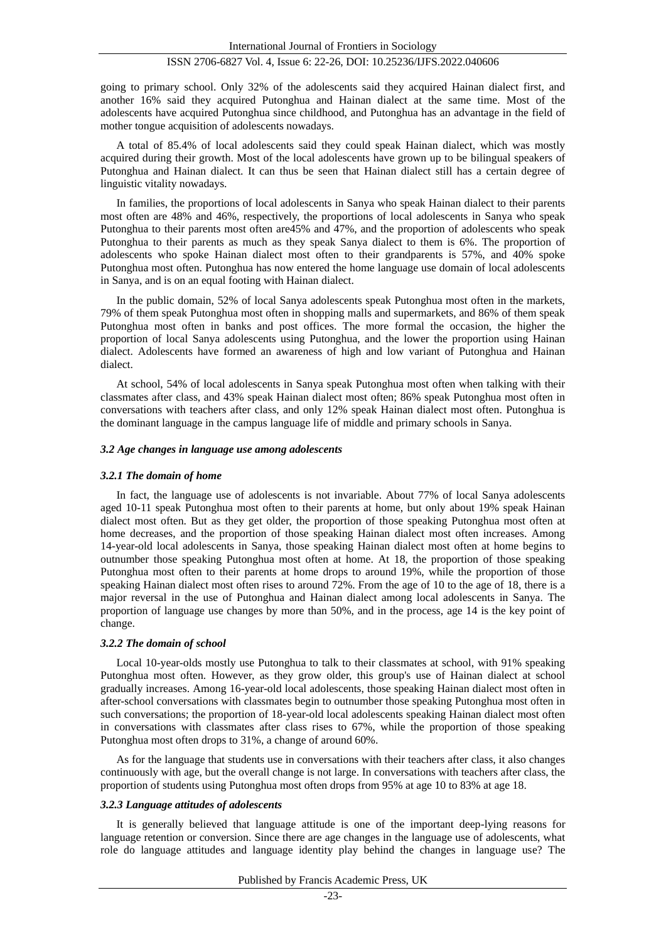going to primary school. Only 32% of the adolescents said they acquired Hainan dialect first, and another 16% said they acquired Putonghua and Hainan dialect at the same time. Most of the adolescents have acquired Putonghua since childhood, and Putonghua has an advantage in the field of mother tongue acquisition of adolescents nowadays.

A total of 85.4% of local adolescents said they could speak Hainan dialect, which was mostly acquired during their growth. Most of the local adolescents have grown up to be bilingual speakers of Putonghua and Hainan dialect. It can thus be seen that Hainan dialect still has a certain degree of linguistic vitality nowadays.

In families, the proportions of local adolescents in Sanya who speak Hainan dialect to their parents most often are 48% and 46%, respectively, the proportions of local adolescents in Sanya who speak Putonghua to their parents most often are45% and 47%, and the proportion of adolescents who speak Putonghua to their parents as much as they speak Sanya dialect to them is 6%. The proportion of adolescents who spoke Hainan dialect most often to their grandparents is 57%, and 40% spoke Putonghua most often. Putonghua has now entered the home language use domain of local adolescents in Sanya, and is on an equal footing with Hainan dialect.

In the public domain, 52% of local Sanya adolescents speak Putonghua most often in the markets, 79% of them speak Putonghua most often in shopping malls and supermarkets, and 86% of them speak Putonghua most often in banks and post offices. The more formal the occasion, the higher the proportion of local Sanya adolescents using Putonghua, and the lower the proportion using Hainan dialect. Adolescents have formed an awareness of high and low variant of Putonghua and Hainan dialect.

At school, 54% of local adolescents in Sanya speak Putonghua most often when talking with their classmates after class, and 43% speak Hainan dialect most often; 86% speak Putonghua most often in conversations with teachers after class, and only 12% speak Hainan dialect most often. Putonghua is the dominant language in the campus language life of middle and primary schools in Sanya.

#### *3.2 Age changes in language use among adolescents*

#### *3.2.1 The domain of home*

In fact, the language use of adolescents is not invariable. About 77% of local Sanya adolescents aged 10-11 speak Putonghua most often to their parents at home, but only about 19% speak Hainan dialect most often. But as they get older, the proportion of those speaking Putonghua most often at home decreases, and the proportion of those speaking Hainan dialect most often increases. Among 14-year-old local adolescents in Sanya, those speaking Hainan dialect most often at home begins to outnumber those speaking Putonghua most often at home. At 18, the proportion of those speaking Putonghua most often to their parents at home drops to around 19%, while the proportion of those speaking Hainan dialect most often rises to around 72%. From the age of 10 to the age of 18, there is a major reversal in the use of Putonghua and Hainan dialect among local adolescents in Sanya. The proportion of language use changes by more than 50%, and in the process, age 14 is the key point of change.

#### *3.2.2 The domain of school*

Local 10-year-olds mostly use Putonghua to talk to their classmates at school, with 91% speaking Putonghua most often. However, as they grow older, this group's use of Hainan dialect at school gradually increases. Among 16-year-old local adolescents, those speaking Hainan dialect most often in after-school conversations with classmates begin to outnumber those speaking Putonghua most often in such conversations; the proportion of 18-year-old local adolescents speaking Hainan dialect most often in conversations with classmates after class rises to 67%, while the proportion of those speaking Putonghua most often drops to 31%, a change of around 60%.

As for the language that students use in conversations with their teachers after class, it also changes continuously with age, but the overall change is not large. In conversations with teachers after class, the proportion of students using Putonghua most often drops from 95% at age 10 to 83% at age 18.

#### *3.2.3 Language attitudes of adolescents*

It is generally believed that language attitude is one of the important deep-lying reasons for language retention or conversion. Since there are age changes in the language use of adolescents, what role do language attitudes and language identity play behind the changes in language use? The

Published by Francis Academic Press, UK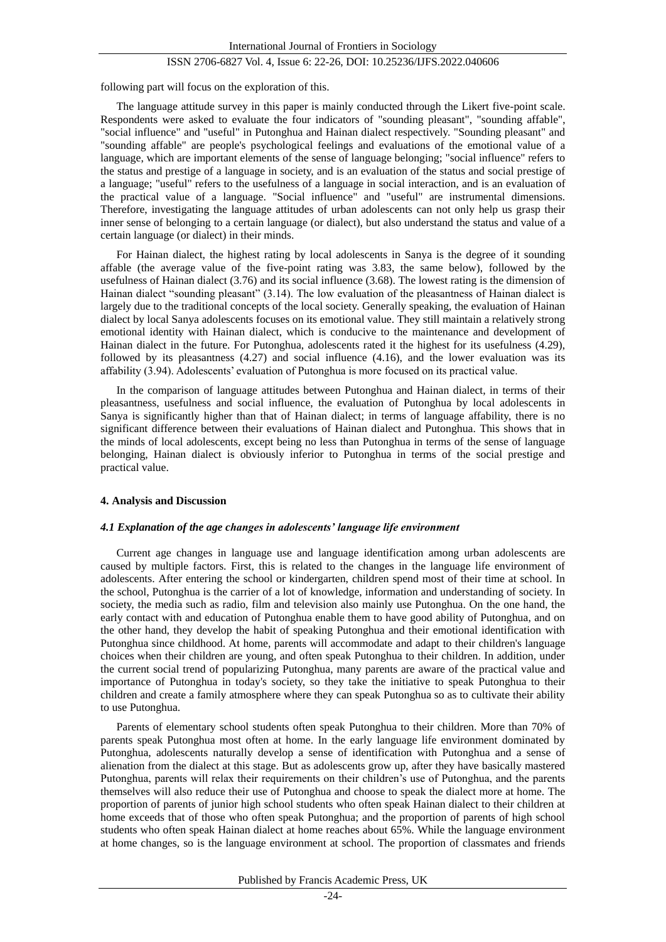following part will focus on the exploration of this.

The language attitude survey in this paper is mainly conducted through the Likert five-point scale. Respondents were asked to evaluate the four indicators of "sounding pleasant", "sounding affable", "social influence" and "useful" in Putonghua and Hainan dialect respectively. "Sounding pleasant" and "sounding affable" are people's psychological feelings and evaluations of the emotional value of a language, which are important elements of the sense of language belonging; "social influence" refers to the status and prestige of a language in society, and is an evaluation of the status and social prestige of a language; "useful" refers to the usefulness of a language in social interaction, and is an evaluation of the practical value of a language. "Social influence" and "useful" are instrumental dimensions. Therefore, investigating the language attitudes of urban adolescents can not only help us grasp their inner sense of belonging to a certain language (or dialect), but also understand the status and value of a certain language (or dialect) in their minds.

For Hainan dialect, the highest rating by local adolescents in Sanya is the degree of it sounding affable (the average value of the five-point rating was 3.83, the same below), followed by the usefulness of Hainan dialect (3.76) and its social influence (3.68). The lowest rating is the dimension of Hainan dialect "sounding pleasant" (3.14). The low evaluation of the pleasantness of Hainan dialect is largely due to the traditional concepts of the local society. Generally speaking, the evaluation of Hainan dialect by local Sanya adolescents focuses on its emotional value. They still maintain a relatively strong emotional identity with Hainan dialect, which is conducive to the maintenance and development of Hainan dialect in the future. For Putonghua, adolescents rated it the highest for its usefulness (4.29), followed by its pleasantness (4.27) and social influence (4.16), and the lower evaluation was its affability (3.94). Adolescents' evaluation of Putonghua is more focused on its practical value.

In the comparison of language attitudes between Putonghua and Hainan dialect, in terms of their pleasantness, usefulness and social influence, the evaluation of Putonghua by local adolescents in Sanya is significantly higher than that of Hainan dialect; in terms of language affability, there is no significant difference between their evaluations of Hainan dialect and Putonghua. This shows that in the minds of local adolescents, except being no less than Putonghua in terms of the sense of language belonging, Hainan dialect is obviously inferior to Putonghua in terms of the social prestige and practical value.

#### **4. Analysis and Discussion**

#### *4.1 Explanation of the age changes in adolescents' language life environment*

Current age changes in language use and language identification among urban adolescents are caused by multiple factors. First, this is related to the changes in the language life environment of adolescents. After entering the school or kindergarten, children spend most of their time at school. In the school, Putonghua is the carrier of a lot of knowledge, information and understanding of society. In society, the media such as radio, film and television also mainly use Putonghua. On the one hand, the early contact with and education of Putonghua enable them to have good ability of Putonghua, and on the other hand, they develop the habit of speaking Putonghua and their emotional identification with Putonghua since childhood. At home, parents will accommodate and adapt to their children's language choices when their children are young, and often speak Putonghua to their children. In addition, under the current social trend of popularizing Putonghua, many parents are aware of the practical value and importance of Putonghua in today's society, so they take the initiative to speak Putonghua to their children and create a family atmosphere where they can speak Putonghua so as to cultivate their ability to use Putonghua.

Parents of elementary school students often speak Putonghua to their children. More than 70% of parents speak Putonghua most often at home. In the early language life environment dominated by Putonghua, adolescents naturally develop a sense of identification with Putonghua and a sense of alienation from the dialect at this stage. But as adolescents grow up, after they have basically mastered Putonghua, parents will relax their requirements on their children's use of Putonghua, and the parents themselves will also reduce their use of Putonghua and choose to speak the dialect more at home. The proportion of parents of junior high school students who often speak Hainan dialect to their children at home exceeds that of those who often speak Putonghua; and the proportion of parents of high school students who often speak Hainan dialect at home reaches about 65%. While the language environment at home changes, so is the language environment at school. The proportion of classmates and friends

Published by Francis Academic Press, UK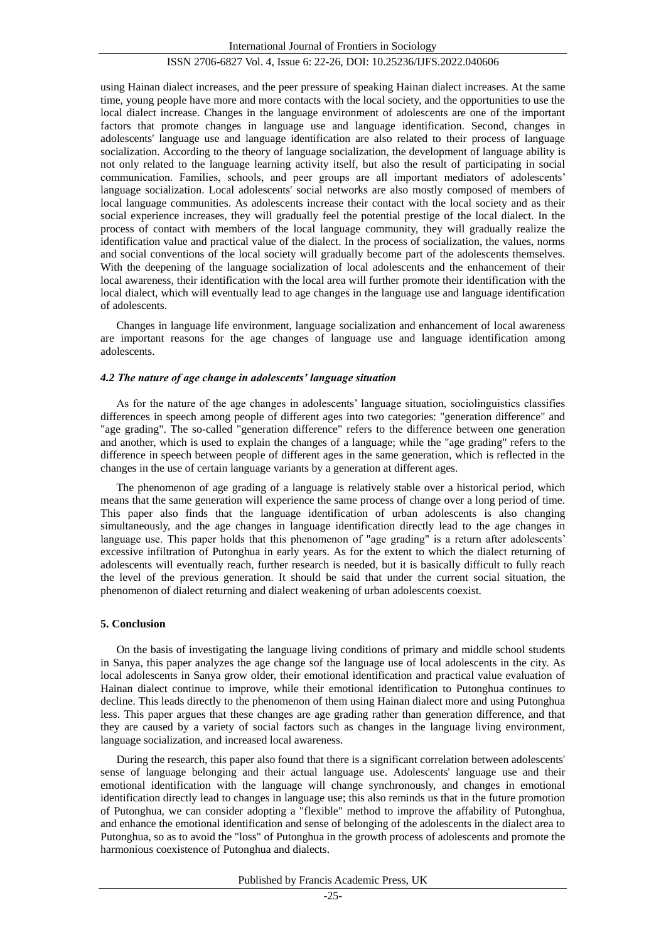using Hainan dialect increases, and the peer pressure of speaking Hainan dialect increases. At the same time, young people have more and more contacts with the local society, and the opportunities to use the local dialect increase. Changes in the language environment of adolescents are one of the important factors that promote changes in language use and language identification. Second, changes in adolescents' language use and language identification are also related to their process of language socialization. According to the theory of language socialization, the development of language ability is not only related to the language learning activity itself, but also the result of participating in social communication. Families, schools, and peer groups are all important mediators of adolescents' language socialization. Local adolescents' social networks are also mostly composed of members of local language communities. As adolescents increase their contact with the local society and as their social experience increases, they will gradually feel the potential prestige of the local dialect. In the process of contact with members of the local language community, they will gradually realize the identification value and practical value of the dialect. In the process of socialization, the values, norms and social conventions of the local society will gradually become part of the adolescents themselves. With the deepening of the language socialization of local adolescents and the enhancement of their local awareness, their identification with the local area will further promote their identification with the local dialect, which will eventually lead to age changes in the language use and language identification of adolescents.

Changes in language life environment, language socialization and enhancement of local awareness are important reasons for the age changes of language use and language identification among adolescents.

#### *4.2 The nature of age change in adolescents' language situation*

As for the nature of the age changes in adolescents' language situation, sociolinguistics classifies differences in speech among people of different ages into two categories: "generation difference" and "age grading". The so-called "generation difference" refers to the difference between one generation and another, which is used to explain the changes of a language; while the "age grading" refers to the difference in speech between people of different ages in the same generation, which is reflected in the changes in the use of certain language variants by a generation at different ages.

The phenomenon of age grading of a language is relatively stable over a historical period, which means that the same generation will experience the same process of change over a long period of time. This paper also finds that the language identification of urban adolescents is also changing simultaneously, and the age changes in language identification directly lead to the age changes in language use. This paper holds that this phenomenon of "age grading" is a return after adolescents' excessive infiltration of Putonghua in early years. As for the extent to which the dialect returning of adolescents will eventually reach, further research is needed, but it is basically difficult to fully reach the level of the previous generation. It should be said that under the current social situation, the phenomenon of dialect returning and dialect weakening of urban adolescents coexist.

#### **5. Conclusion**

On the basis of investigating the language living conditions of primary and middle school students in Sanya, this paper analyzes the age change sof the language use of local adolescents in the city. As local adolescents in Sanya grow older, their emotional identification and practical value evaluation of Hainan dialect continue to improve, while their emotional identification to Putonghua continues to decline. This leads directly to the phenomenon of them using Hainan dialect more and using Putonghua less. This paper argues that these changes are age grading rather than generation difference, and that they are caused by a variety of social factors such as changes in the language living environment, language socialization, and increased local awareness.

During the research, this paper also found that there is a significant correlation between adolescents' sense of language belonging and their actual language use. Adolescents' language use and their emotional identification with the language will change synchronously, and changes in emotional identification directly lead to changes in language use; this also reminds us that in the future promotion of Putonghua, we can consider adopting a "flexible" method to improve the affability of Putonghua, and enhance the emotional identification and sense of belonging of the adolescents in the dialect area to Putonghua, so as to avoid the "loss" of Putonghua in the growth process of adolescents and promote the harmonious coexistence of Putonghua and dialects.

Published by Francis Academic Press, UK